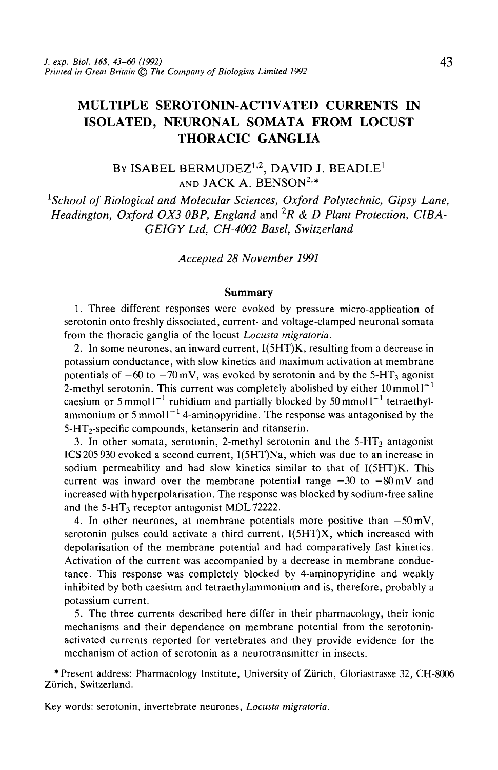# MULTIPLE SEROTONIN-ACTIVATED CURRENTS IN ISOLATED, NEURONAL SOMATA FROM LOCUST THORACIC GANGLIA

## By ISABEL BERMUDEZ $^{1,2}$ , DAVID J. BEADLE $^1$ and JACK A. BENSON $^{2,*}$

<sup>1</sup> School of Biological and Molecular Sciences, Oxford Polytechnic, Gipsy Lane, *Headington, Oxford 0X3 OBP, England* and *2R & D Plant Protection, CIBA-GEIGY Ltd, CH-4002 Basel, Switzerland*

*Accepted 28 November 1991*

#### **Summary**

1. Three different responses were evoked by pressure micro-application of serotonin onto freshly dissociated, current- and voltage-clamped neuronal somata from the thoracic ganglia of the locust *Locusta mlgratoria.*

*2.* In some neurones, an inward current, I(5HT)K, resulting from a decrease in potassium conductance, with slow kinetics and maximum activation at membrane potentials of  $-60$  to  $-70$  mV, was evoked by serotonin and by the 5-HT<sub>3</sub> agonist 2-methyl serotonin. This current was completely abolished by either  $10 \text{ mmol}1^{-1}$ caesium or 5 mmol  $I^{-1}$  rubidium and partially blocked by 50 mmol  $I^{-1}$  tetraethylammonium or 5 mmol  $I^{-1}$  4-aminopyridine. The response was antagonised by the 5-HT<sub>2</sub>-specific compounds, ketanserin and ritanserin.

3. In other somata, serotonin, 2-methyl serotonin and the  $5-HT<sub>3</sub>$  antagonist ICS205 930 evoked a second current, I(5HT)Na, which was due to an increase in sodium permeability and had slow kinetics similar to that of I(5HT)K. This current was inward over the membrane potential range  $-30$  to  $-80$  mV and increased with hyperpolarisation. The response was blocked by sodium-free saline and the 5-HT<sub>3</sub> receptor antagonist MDL 72222.

4. In other neurones, at membrane potentials more positive than  $-50 \text{ mV}$ , serotonin pulses could activate a third current, I(5HT)X, which increased with depolarisation of the membrane potential and had comparatively fast kinetics. Activation of the current was accompanied by a decrease in membrane conductance. This response was completely blocked by 4-aminopyridine and weakly inhibited by both caesium and tetraethylammonium and is, therefore, probably a potassium current.

5. The three currents described here differ in their pharmacology, their ionic mechanisms and their dependence on membrane potential from the serotoninactivated currents reported for vertebrates and they provide evidence for the mechanism of action of serotonin as a neurotransmitter in insects.

\* Present address: Pharmacology Institute, University of Zurich, Gloriastrasse 32, CH-8006 Zürich, Switzerland.

Key words: serotonin, invertebrate neurones, *Locusta migratoria.*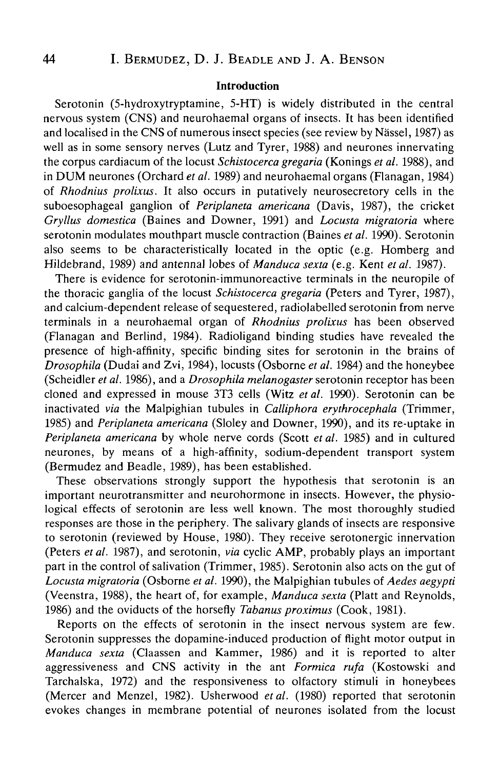## **Introduction**

Serotonin (5-hydroxytryptamine, 5-HT) is widely distributed in the central nervous system (CNS) and neurohaemal organs of insects. It has been identified and localised in the CNS of numerous insect species (see review by Nassel, 1987) as well as in some sensory nerves (Lutz and Tyrer, 1988) and neurones innervating the corpus cardiacum of the locust *Schistocerca gregaria* (Konings *et al.* 1988), and in DUM neurones (Orchard *et al.* 1989) and neurohaemal organs (Flanagan, 1984) of *Rhodnius prolixus.* It also occurs in putatively neurosecretory cells in the suboesophageal ganglion of *Periplaneta americana* (Davis, 1987), the cricket *Gryllus domestica* (Baines and Downer, 1991) and *Locusta migratoria* where serotonin modulates mouthpart muscle contraction (Baines *et al.* 1990). Serotonin also seems to be characteristically located in the optic (e.g. Homberg and Hildebrand, 1989) and antennal lobes of *Manduca sexta* (e.g. Kent *etal.* 1987).

There is evidence for serotonin-immunoreactive terminals in the neuropile of the thoracic ganglia of the locust *Schistocerca gregaria* (Peters and Tyrer, 1987), and calcium-dependent release of sequestered, radiolabelled serotonin from nerve terminals in a neurohaemal organ of *Rhodnius prolixus* has been observed (Flanagan and Berlind, 1984). Radioligand binding studies have revealed the presence of high-affinity, specific binding sites for serotonin in the brains of *Drosophila* (Dudai and Zvi, 1984), locusts (Osborne *et al.* 1984) and the honeybee (Scheidler *et al.* 1986), and a *Drosophila melanogaster* serotonin receptor has been cloned and expressed in mouse 3T3 cells (Witz *etal.* 1990). Serotonin can be inactivated *via* the Malpighian tubules in *Calliphora erythrocephala* (Trimmer, 1985) and *Periplaneta americana* (Sloley and Downer, 1990), and its re-uptake in *Periplaneta americana* by whole nerve cords (Scott et al. 1985) and in cultured neurones, by means of a high-affinity, sodium-dependent transport system (Bermudez and Beadle, 1989), has been established.

These observations strongly support the hypothesis that serotonin is an important neurotransmitter and neurohormone in insects. However, the physiological effects of serotonin are less well known. The most thoroughly studied responses are those in the periphery. The salivary glands of insects are responsive to serotonin (reviewed by House, 1980). They receive serotonergic innervation (Peters *etal.* 1987), and serotonin, *via* cyclic AMP, probably plays an important part in the control of salivation (Trimmer, 1985). Serotonin also acts on the gut of *Locusta migratoria* (Osborne *etal.* 1990), the Malpighian tubules of *Aedes aegypti* (Veenstra, 1988), the heart of, for example, *Manduca sexta* (Platt and Reynolds, 1986) and the oviducts of the horsefly *Tabanus proximus* (Cook, 1981).

Reports on the effects of serotonin in the insect nervous system are few. Serotonin suppresses the dopamine-induced production of flight motor output in *Manduca sexta* (Claassen and Kammer, 1986) and it is reported to alter aggressiveness and CNS activity in the ant *Formica rufa* (Kostowski and Tarchalska, 1972) and the responsiveness to olfactory stimuli in honeybees (Mercer and Menzel, 1982). Usherwood *etal.* (1980) reported that serotonin evokes changes in membrane potential of neurones isolated from the locust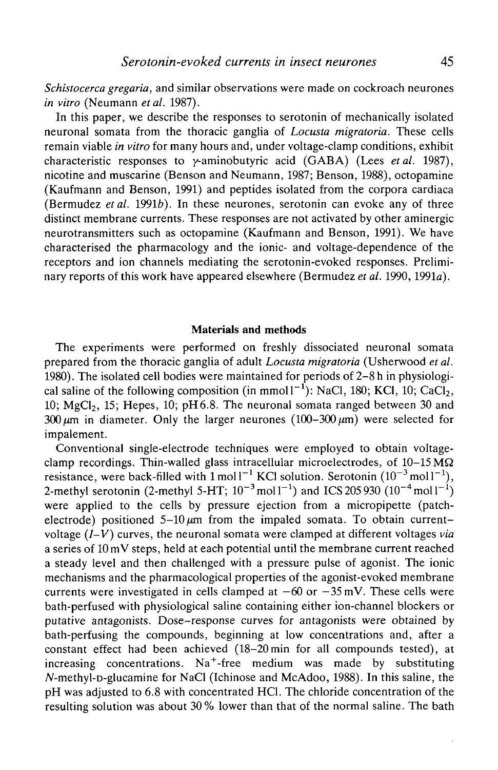*Schistocerca gregaria,* and similar observations were made on cockroach neurones *in vitro* (Neumann *etal.* 1987).

In this paper, we describe the responses to serotonin of mechanically isolated neuronal somata from the thoracic ganglia of *Locusta migratoria.* These cells remain viable *in vitro* for many hours and, under voltage-clamp conditions, exhibit characteristic responses to y-aminobutyric acid (GABA) (Lees *etal.* 1987), nicotine and muscarine (Benson and Neumann, 1987; Benson, 1988), octopamine (Kaufmann and Benson, 1991) and peptides isolated from the corpora cardiaca (Bermudez *et al.* 1991*b*). In these neurones, serotonin can evoke any of three distinct membrane currents. These responses are not activated by other aminergic neurotransmitters such as octopamine (Kaufmann and Benson, 1991). We have characterised the pharmacology and the ionic- and voltage-dependence of the receptors and ion channels mediating the serotonin-evoked responses. Preliminary reports of this work have appeared elsewhere (Bermudez *et al.* 1990,1991a).

### **Materials and methods**

The experiments were performed on freshly dissociated neuronal somata prepared from the thoracic ganglia of adult *Locusta migratoria* (Usherwood *et al.* 1980). The isolated cell bodies were maintained for periods of 2-8 h in physiological saline of the following composition (in mmol  $1^{-1}$ ): NaCl, 180; KCl, 10; CaCl<sub>2</sub>, 10;  $MeCl<sub>2</sub>$ , 15; Hepes, 10; pH6.8. The neuronal somata ranged between 30 and 300  $\mu$ m in diameter. Only the larger neurones (100-300  $\mu$ m) were selected for impalement.

Conventional single-electrode techniques were employed to obtain voltageclamp recordings. Thin-walled glass intracellular microelectrodes, of  $10-15 \overline{M\Omega}$ resistance, were back-filled with  $1 \text{ mol } l^{-1}$  KCl solution. Serotonin  $(10^{-3} \text{ mol } l^{-1})$ , 2-methyl serotonin (2-methyl 5-HT;  $10^{-3}$  mol $1^{-1}$ ) and ICS 205 930 ( $10^{-4}$  mol $1^{-1}$ ) were applied to the cells by pressure ejection from a micropipette (patchelectrode) positioned  $5-10 \mu m$  from the impaled somata. To obtain currentvoltage *(1-V)* curves, the neuronal somata were clamped at different voltages *via* a series of 10 mV steps, held at each potential until the membrane current reached a steady level and then challenged with a pressure pulse of agonist. The ionic mechanisms and the pharmacological properties of the agonist-evoked membrane currents were investigated in cells clamped at  $-60$  or  $-35$  mV. These cells were bath-perfused with physiological saline containing either ion-channel blockers or putative antagonists. Dose-response curves for antagonists were obtained by bath-perfusing the compounds, beginning at low concentrations and, after a constant effect had been achieved (18-20min for all compounds tested), at increasing concentrations.  $Na<sup>+</sup>$ -free medium was made by substituting  $N$ -methyl-p-glucamine for NaCl (Ichinose and McAdoo, 1988). In this saline, the pH was adjusted to 6.8 with concentrated HC1. The chloride concentration of the resulting solution was about 30% lower than that of the normal saline. The bath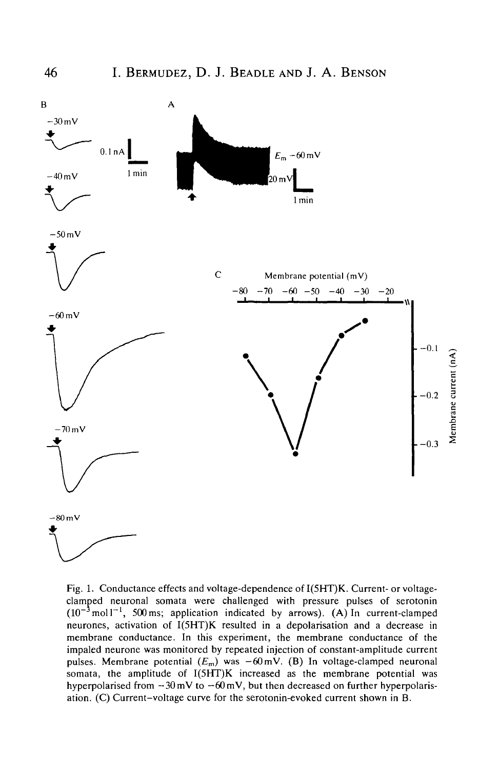

Fig. 1. Conductance effects and voltage-dependence of I(5HT)K. Current- or voltageclamped neuronal somata were challenged with pressure pulses of serotonin  $(10^{-3} \text{ mol}^{-1}$ , 500 ms; application indicated by arrows). (A) In current-clamped neurones, activation of I(5HT)K resulted in a depolarisation and a decrease in membrane conductance. In this experiment, the membrane conductance of the impaled neurone was monitored by repeated injection of constant-amplitude current pulses. Membrane potential  $(E_m)$  was  $-60$  mV. (B) In voltage-clamped neuronal somata, the amplitude of I(5HT)K increased as the membrane potential was hyperpolarised from  $-30$  mV to  $-60$  mV, but then decreased on further hyperpolarisation. (C) Current-voltage curve for the serotonin-evoked current shown in B.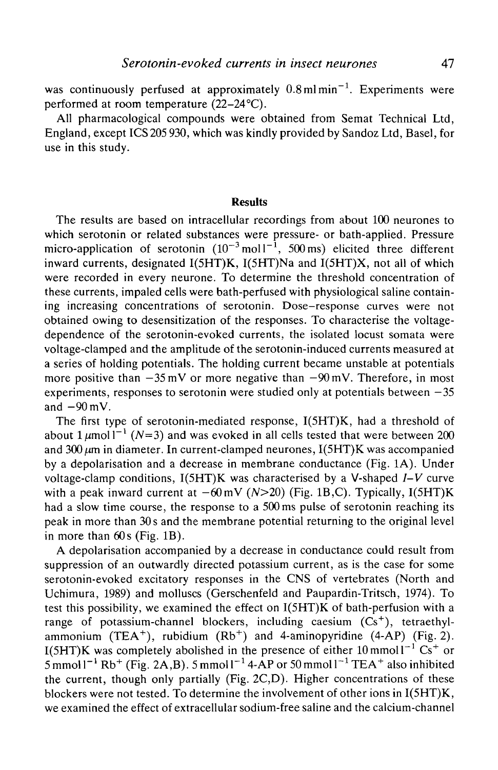was continuously perfused at approximately  $0.8$  ml $min^{-1}$ . Experiments were performed at room temperature  $(22-24$ <sup>o</sup>C).

All pharmacological compounds were obtained from Semat Technical Ltd, England, except ICS 205 930, which was kindly provided by Sandoz Ltd, Basel, for use in this study.

#### **Results**

The results are based on intracellular recordings from about 100 neurones to which serotonin or related substances were pressure- or bath-applied. Pressure micro-application of serotonin  $(10^{-3} \text{ mol}^{-1}, 500 \text{ ms})$  elicited three different inward currents, designated I(5HT)K, I(5HT)Na and I(5HT)X, not all of which were recorded in every neurone. To determine the threshold concentration of these currents, impaled cells were bath-perfused with physiological saline containing increasing concentrations of serotonin. Dose-response curves were not obtained owing to desensitization of the responses. To characterise the voltagedependence of the serotonin-evoked currents, the isolated locust somata were voltage-clamped and the amplitude of the serotonin-induced currents measured at a series of holding potentials. The holding current became unstable at potentials more positive than  $-35 \text{ mV}$  or more negative than  $-90 \text{ mV}$ . Therefore, in most experiments, responses to serotonin were studied only at potentials between  $-35$ and  $-90$  mV.

The first type of serotonin-mediated response, I(5HT)K, had a threshold of about 1  $\mu$ mol l<sup>-1</sup> (N=3) and was evoked in all cells tested that were between 200 and 300  $\mu$ m in diameter. In current-clamped neurones, I(5HT)K was accompanied by a depolarisation and a decrease in membrane conductance (Fig. 1A). Under voltage-clamp conditions, I(5HT)K was characterised by a V-shaped *I-V* curve with a peak inward current at  $-60$  mV ( $N>20$ ) (Fig. 1B,C). Typically, I(5HT)K had a slow time course, the response to a 500ms pulse of serotonin reaching its peak in more than 30 s and the membrane potential returning to the original level in more than 60s (Fig. IB).

A depolarisation accompanied by a decrease in conductance could result from suppression of an outwardly directed potassium current, as is the case for some serotonin-evoked excitatory responses in the CNS of vertebrates (North and Uchimura, 1989) and molluscs (Gerschenfeld and Paupardin-Tritsch, 1974). To test this possibility, we examined the effect on I(5HT)K of bath-perfusion with a range of potassium-channel blockers, including caesium  $(Cs^+)$ , tetraethylammonium (TEA<sup>+</sup>), rubidium  $(Rb<sup>+</sup>)$  and 4-aminopyridine (4-AP) (Fig. 2). I(5HT)K was completely abolished in the presence of either  $10 \text{ mmol}1^{-1} \text{ Cs}^+$  or  $5 \text{ mmol} 1^{-1} \text{ Rb}^+$  (Fig. 2A,B). 5 mmol  $1^{-1}$  4-AP or 50 mmol  $1^{-1}$  TEA<sup>+</sup> also inhibited the current, though only partially (Fig. 2C,D). Higher concentrations of these blockers were not tested. To determine the involvement of other ions in I(5HT)K, we examined the effect of extracellular sodium-free saline and the calcium-channel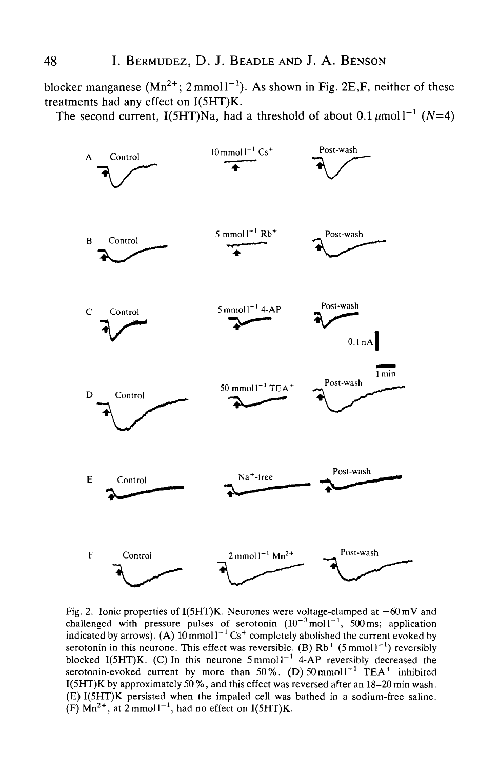blocker manganese  $(Mn^{2+}; 2mmol1^{-1})$ . As shown in Fig. 2E, F, neither of these treatments had any effect on I(5HT)K.

The second current, I(5HT)Na, had a threshold of about  $0.1 \mu$ moll<sup>-1</sup> (N=4)



Fig. 2. Ionic properties of I(5HT)K. Neurones were voltage-clamped at  $-60$  mV and challenged with pressure pulses of serotonin  $(10^{-3} \text{ mol}1^{-1}, 500 \text{ ms})$ ; application indicated by arrows). (A)  $10 \text{ mmol}^{-1} \text{Cs}^+$  completely abolished the current evoked by serotonin in this neurone. This effect was reversible. (B)  $Rb^{+}$  (5 mmol  $1^{-1}$ ) reversibly blocked I(5HT)K. (C) In this neurone  $5 \text{mmol} 1^{-1}$  4-AP reversibly decreased the serotonin-evoked current by more than 50%. (D)  $50 \text{ mmol}^{-1}$  TEA<sup>+</sup> inhibited I(5HT)K by approximately 50 %, and this effect was reversed after an 18-20 min wash. (E) I(5HT)K persisted when the impaled cell was bathed in a sodium-free saline.  $(F)$  Mn<sup>2+</sup>, at 2 mmol<sup>1-1</sup>, had no effect on I(5HT)K.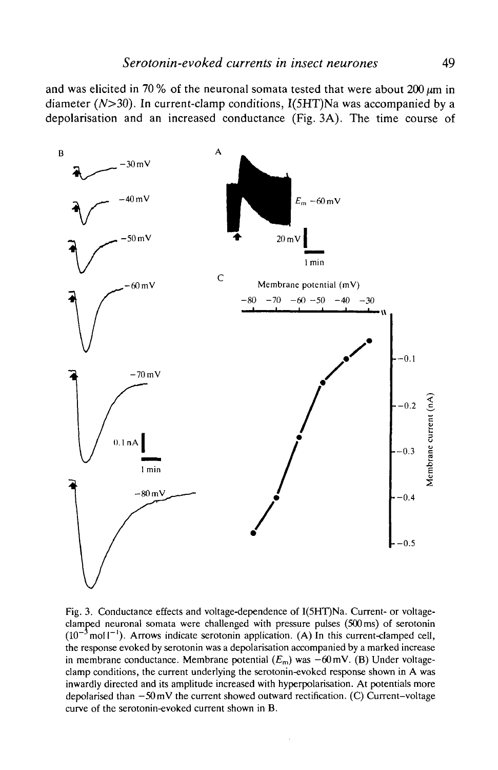and was elicited in 70 % of the neuronal somata tested that were about  $200 \mu m$  in diameter  $(N>30)$ . In current-clamp conditions,  $I(5HT)$ Na was accompanied by a depolarisation and an increased conductance (Fig. 3A). The time course of



Fig. 3. Conductance effects and voltage-dependence of I(5HT)Na. Current- or voltageclamped neuronal somata were challenged with pressure pulses (500 ms) of serotonin  $(10^{-3} \text{mol}^{-1})$ . Arrows indicate serotonin application. (A) In this current-clamped cell, the response evoked by serotonin was a depolarisation accompanied by a marked increase in membrane conductance. Membrane potential  $(E_m)$  was  $-60$  mV. (B) Under voltageclamp conditions, the current underlying the serotonin-evoked response shown in A was inwardly directed and its amplitude increased with hyperpolarisation. At potentials more depolarised than  $-50$  mV the current showed outward rectification. (C) Current-voltage curve of the serotonin-evoked current shown in B.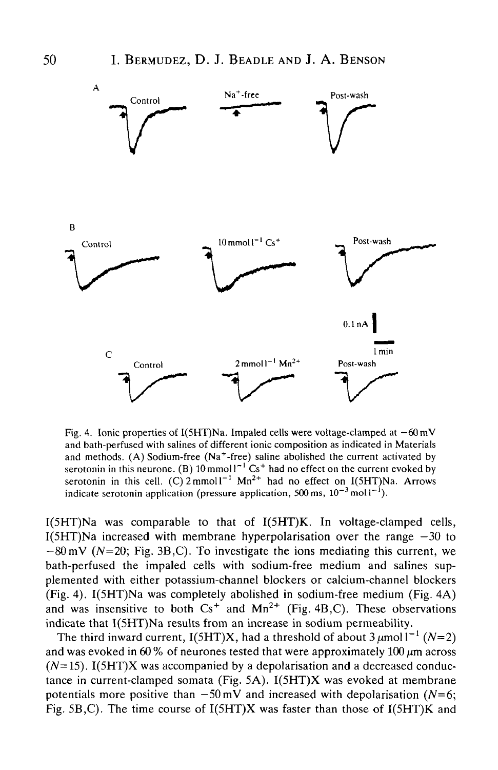

Fig. 4. Ionic properties of I(5HT)Na. Impaled cells were voltage-clamped at  $-60 \text{ mV}$ and bath-perfused with salines of different ionic composition as indicated in Materials and methods. (A) Sodium-free  $(Na^+$ -free) saline abolished the current activated by serotonin in this neurone. (B)  $10 \text{ mmol}1^{-1} \text{ Cs}^+$  had no effect on the current evoked by serotonin in this cell. (C)  $2 \text{mmol}^{-1}$  Mn<sup>2+</sup> had no effect on I(5HT)Na. Arrows indicate serotonin application (pressure application, 500 ms,  $10^{-3}$  moll<sup>-1</sup>).

I(5HT)Na was comparable to that of I(5HT)K. In voltage-clamped cells,  $I(5HT)Na$  increased with membrane hyperpolarisation over the range  $-30$  to  $-80$  mV ( $N=20$ ; Fig. 3B,C). To investigate the ions mediating this current, we bath-perfused the impaled cells with sodium-free medium and salines supplemented with either potassium-channel blockers or calcium-channel blockers (Fig. 4). I(5HT)Na was completely abolished in sodium-free medium (Fig. 4A) and was insensitive to both  $Cs^+$  and  $Mn^{2+}$  (Fig. 4B,C). These observations indicate that I(5HT)Na results from an increase in sodium permeability.

The third inward current,  $I(5HT)X$ , had a threshold of about  $3 \mu$ mol  $I^{-1}$  (N=2) and was evoked in 60 % of neurones tested that were approximately 100  $\mu$ m across  $(N=15)$ . I(5HT)X was accompanied by a depolarisation and a decreased conductance in current-clamped somata (Fig. 5A). I(5HT)X was evoked at membrane potentials more positive than  $-50$  mV and increased with depolarisation ( $N=6$ ; Fig. 5B,C). The time course of I(5HT)X was faster than those of I(5HT)K and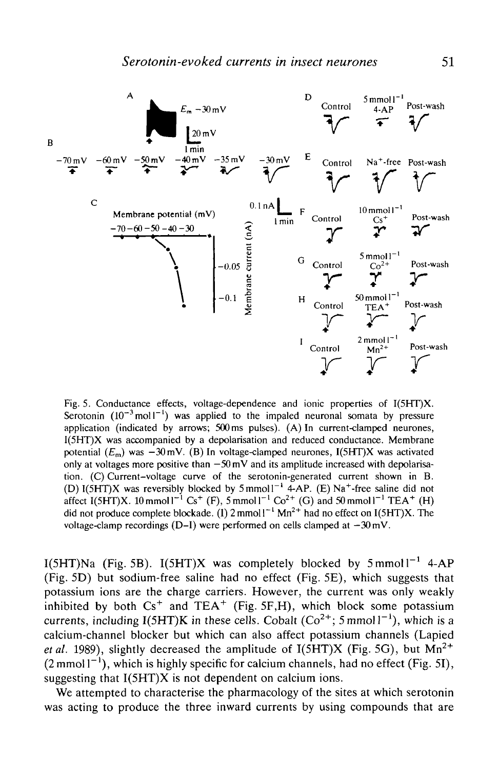

Fig. 5. Conductance effects, voltage-dependence and ionic properties of I(5HT)X. Serotonin  $(10^{-3} \text{ mol}^{-1})$  was applied to the impaled neuronal somata by pressure application (indicated by arrows; 500ms pulses). (A) In current-clamped neurones, I(5HT)X was accompanied by a depolarisation and reduced conductance. Membrane potential  $(E_m)$  was  $-30$  mV. (B) In voltage-clamped neurones, I(5HT)X was activated only at voltages more positive than  $-50$  mV and its amplitude increased with depolarisation. (C) Current-voltage curve of the serotonin-generated current shown in B. (D)  $I(SHT)X$  was reversibly blocked by  $5 \text{ mmol}1^{-1}$  4-AP. (E) Na<sup>+</sup> (D) I(5HT)X was reversibly blocked by 5 mmol  $1^{-1}$  4-AP. (E) Na<sup>+</sup>-free saline did not affect I(5HT)X. 10 mmol  $1^{-1}$  Cs<sup>+</sup> (F), 5 mmol  $1^{-1}$  Co<sup>2+</sup> (G) and 50 mmol  $1^{-1}$  TEA<sup>+</sup> (H) did not produce complete blockade. (1)  $2 \text{ mmol}1^{-1} \text{ Mn}^{2+}$  had no effect on I(5HT)X. The voltage-clamp recordings (D-I) were performed on cells clamped at  $-30$  mV.

I(5HT)Na (Fig. 5B). I(5HT)X was completely blocked by  $5 \text{ mmol}1^{-1}$  4-AP (Fig. 5D) but sodium-free saline had no effect (Fig. 5E), which suggests that potassium ions are the charge carriers. However, the current was only weakly inhibited by both  $Cs^+$  and  $TEA^+$  (Fig. 5F,H), which block some potassium currents, including I(5HT)K in these cells. Cobalt (Co<sup>2+</sup>; 5 mmol1<sup>-1</sup>), which is a calcium-channel blocker but which can also affect potassium channels (Lapied *et al.* 1989), slightly decreased the amplitude of  $I(5HT)X$  (Fig. 5G), but  $Mn^{2+}$  $(2 \text{ mmol} |1^{-1})$ , which is highly specific for calcium channels, had no effect (Fig. 51), suggesting that  $I(5HT)X$  is not dependent on calcium ions.

We attempted to characterise the pharmacology of the sites at which serotonin was acting to produce the three inward currents by using compounds that are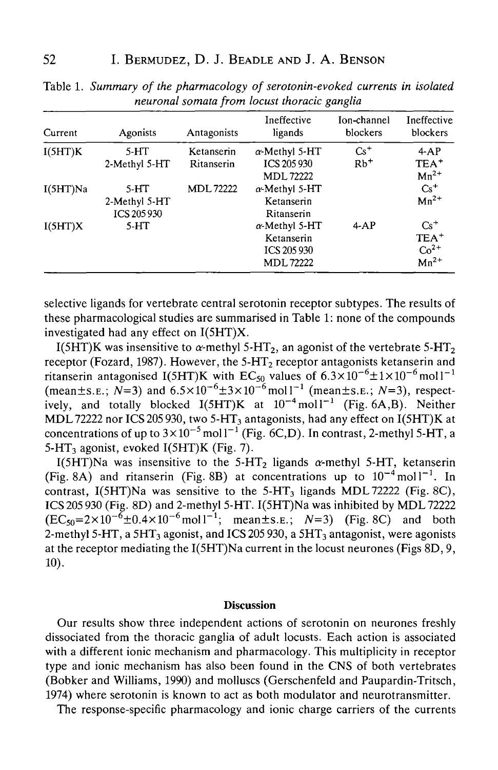| Current  | Agonists                               | Antagonists                     | Ineffective<br>ligands                                                | Ion-channel<br>blockers    | Ineffective<br>blockers                                 |
|----------|----------------------------------------|---------------------------------|-----------------------------------------------------------------------|----------------------------|---------------------------------------------------------|
| I(5HT)K  | $5-HT$<br>2-Methyl 5-HT                | Ketanserin<br><b>Ritanserin</b> | a-Methyl 5-HT<br>ICS 205 930<br>MDL 72222                             | $Cs+$<br>$Rb$ <sup>+</sup> | 4AP<br>TEA <sup>+</sup><br>$Mn^{2+}$                    |
| I(5HT)Na | $5-HT$<br>2-Methyl 5-HT<br>ICS 205 930 | <b>MDL72222</b>                 | $\alpha$ -Methyl 5-HT<br>Ketanserin<br>Ritanserin                     |                            | $Cs^+$<br>$Mn^{2+}$                                     |
| I(5HT)X  | $5-HT$                                 |                                 | $\alpha$ -Methyl 5-HT<br>Ketanserin<br>ICS 205 930<br><b>MDL72222</b> | $4-AP$                     | $Cs+$<br>TEA <sup>+</sup><br>$Co2+$<br>Mn <sup>2+</sup> |

Table 1. *Summary of the pharmacology of serotonin-evoked currents in isolated neuronal somata from locust thoracic ganglia*

selective ligands for vertebrate central serotonin receptor subtypes. The results of these pharmacological studies are summarised in Table 1: none of the compounds investigated had any effect on I(5HT)X.

I(5HT)K was insensitive to  $\alpha$ -methyl 5-HT<sub>2</sub>, an agonist of the vertebrate 5-HT<sub>2</sub> receptor (Fozard, 1987). However, the  $5-HT<sub>2</sub>$  receptor antagonists ketanserin and ritanserin antagonised I(5HT)K with EC<sub>50</sub> values of  $6.3 \times 10^{-6} \pm 1 \times 10^{-6}$  mol l<sup>-1</sup>  $(\text{mean} \pm \text{s.e.}; N=3)$  and  $6.5 \times 10^{-6} \pm 3 \times 10^{-6} \text{mol}^{-1}$   $(\text{mean} \pm \text{s.e.}; N=3)$ , respectively, and totally blocked  $I(5HT)K$  at  $10^{-4}$  moll<sup>-1</sup> (Fig. 6A,B). Neither MDL 72222 nor ICS 205 930, two 5-HT<sub>3</sub> antagonists, had any effect on  $I(5HT)K$  at concentrations of up to  $3\times10^{-5}$  mol l<sup>-1</sup> (Fig. 6C,D). In contrast, 2-methyl 5-HT, a 5-HT<sub>3</sub> agonist, evoked I(5HT)K (Fig. 7).

I(5HT)Na was insensitive to the 5-HT<sub>2</sub> ligands  $\alpha$ -methyl 5-HT, ketanserin (Fig. 8A) and ritanserin (Fig. 8B) at concentrations up to  $10^{-4}$  moll<sup>-1</sup>. In contrast, I(5HT)Na was sensitive to the  $5-HT<sub>3</sub>$  ligands MDL 72222 (Fig. 8C), ICS 205 930 (Fig. 8D) and 2-methyl 5-HT. I(5HT)Na was inhibited by MDL 72222  $(EC_{50} = 2 \times 10^{-6} \pm 0.4 \times 10^{-6} \text{mol}^{-1}; \text{ mean} \pm \text{s} \cdot \text{E}; \quad N=3)$  (Fig. 8C) and both 2-methyl 5-HT, a 5HT<sub>3</sub> agonist, and ICS 205 930, a 5HT<sub>3</sub> antagonist, were agonists at the receptor mediating the I(5HT)Na current in the locust neurones (Figs 8D, 9, 10).

#### **Discussion**

Our results show three independent actions of serotonin on neurones freshly dissociated from the thoracic ganglia of adult locusts. Each action is associated with a different ionic mechanism and pharmacology. This multiplicity in receptor type and ionic mechanism has also been found in the CNS of both vertebrates (Bobker and Williams, 1990) and molluscs (Gerschenfeld and Paupardin-Tritsch, 1974) where serotonin is known to act as both modulator and neurotransmitter.

The response-specific pharmacology and ionic charge carriers of the currents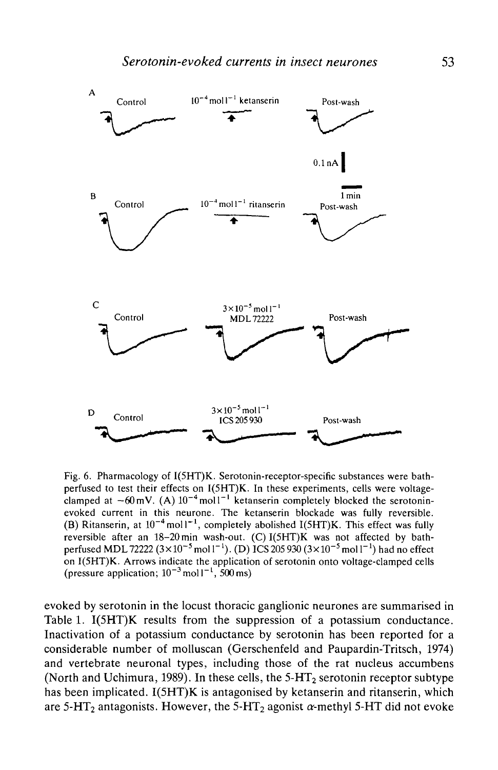

Fig. 6. Pharmacology of I(5HT)K. Serotonin-receptor-specific substances were bathperfused to test their effects on I(5HT)K. In these experiments, cells were voltageclamped at  $-60$  mV. (A)  $10^{-4}$  mol  $1^{-1}$  ketanserin completely blocked the serotoninevoked current in this neurone. The ketanserin blockade was fully reversible. (B) Ritanserin, at  $10^{-4}$  moll<sup>-1</sup>, completely abolished I(5HT)K. This effect was fully reversible after an 18-20min wash-out. (C) I(5HT)K was not affected by bathperfused MDL 72222  $(3 \times 10^{-5} \text{ mol}^{-1})$ . (D)  $\overline{SC}$   $\overline{205}$  930  $(3 \times 10^{-5} \text{ mol}^{-1})$  had no effect on I(5HT)K. Arrows indicate the application of serotonin onto voltage-clamped cells (pressure application;  $10^{-3}$  moll<sup>-1</sup>, 500 ms)

evoked by serotonin in the locust thoracic ganglionic neurones are summarised in Table 1. I(5HT)K results from the suppression of a potassium conductance. Inactivation of a potassium conductance by serotonin has been reported for a considerable number of molluscan (Gerschenfeld and Paupardin-Tritsch, 1974) and vertebrate neuronal types, including those of the rat nucleus accumbens (North and Uchimura, 1989). In these cells, the  $5-HT_2$  serotonin receptor subtype has been implicated. I(5HT)K is antagonised by ketanserin and ritanserin, which are 5-HT<sub>2</sub> antagonists. However, the 5-HT<sub>2</sub> agonist  $\alpha$ -methyl 5-HT did not evoke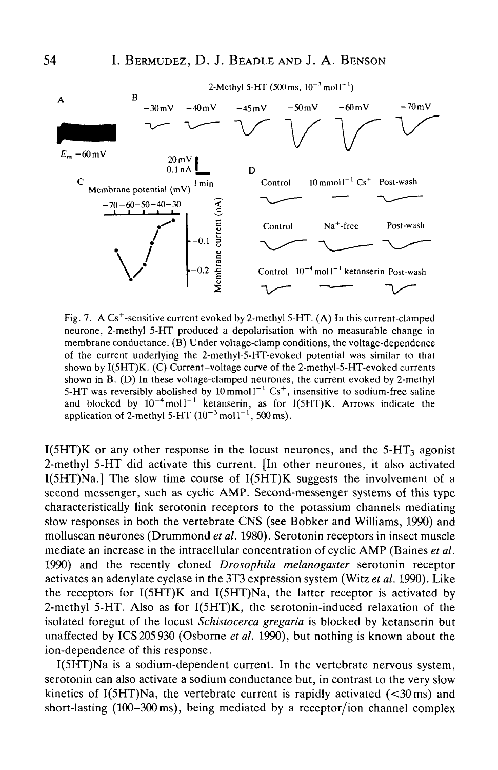## **54** I. BERMUDEZ, D. J. BEADLE AND J. A. BENSON



Fig. 7. A Cs<sup>+</sup>-sensitive current evoked by 2-methyl 5-HT. (A) In this current-clamped neurone, 2-methyl 5-HT produced a depolarisation with no measurable change in membrane conductance. (B) Under voltage-clamp conditions, the voltage-dependence of the current underlying the 2-methyl-5-HT-evoked potential was similar to that shown by I(5HT)K. (C) Current-voltage curve of the 2-methyl-5-HT-evoked currents shown in B. (D) In these voltage-clamped neurones, the current evoked by 2-methyl 5-HT was reversibly abolished by  $10 \text{ mmol}1^{-1} \text{ Cs}^+$ , insensitive to sodium-free saline and blocked by  $10^{-4}$  moll<sup>-1</sup> ketanserin, as for I(5HT)K. Arrows indicate the application of 2-methyl 5-HT  $(10^{-3}$  mol $1^{-1}$ , 500 ms).

 $I(5HT)K$  or any other response in the locust neurones, and the  $5-HT<sub>3</sub>$  agonist 2-methyl 5-HT did activate this current. [In other neurones, it also activated I(5HT)Na.] The slow time course of I(5HT)K suggests the involvement of a second messenger, such as cyclic AMP. Second-messenger systems of this type characteristically link serotonin receptors to the potassium channels mediating slow responses in both the vertebrate CNS (see Bobker and Williams, 1990) and molluscan neurones (Drummond et al. 1980). Serotonin receptors in insect muscle mediate an increase in the intracellular concentration of cyclic AMP (Baines *et al.* 1990) and the recently cloned *Drosophila melanogaster* serotonin receptor activates an adenylate cyclase in the 3T3 expression system (Witz *et al.* 1990). Like the receptors for  $I(5HT)K$  and  $I(5HT)Na$ , the latter receptor is activated by 2-methyl 5-HT. Also as for I(5HT)K, the serotonin-induced relaxation of the isolated foregut of the locust *Schistocerca gregaria* is blocked by ketanserin but unaffected by ICS205 930 (Osborne *et al.* 1990), but nothing is known about the ion-dependence of this response.

I(5HT)Na is a sodium-dependent current. In the vertebrate nervous system, serotonin can also activate a sodium conductance but, in contrast to the very slow kinetics of  $I(5HT)Na$ , the vertebrate current is rapidly activated  $( $30 \text{ ms}$ )$  and short-lasting (100-300 ms), being mediated by a receptor/ion channel complex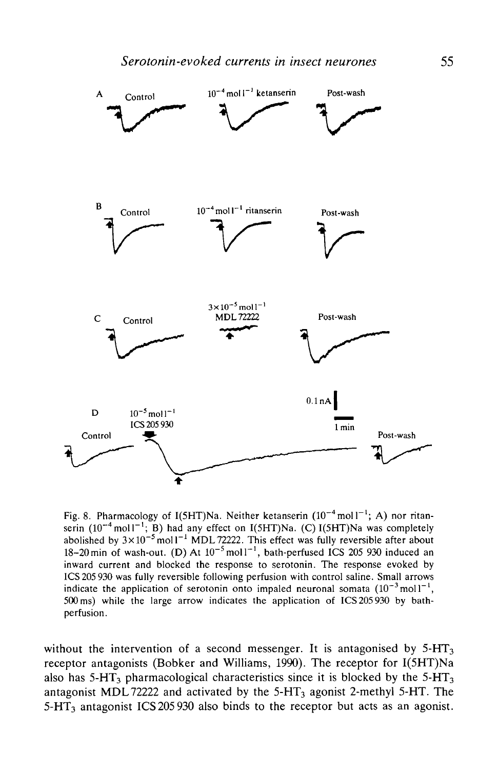

Fig. 8. Pharmacology of I(5HT)Na. Neither ketanserin  $(10^{-4} \text{ mol}1^{-1})$ ; A) nor ritanserin  $(10^{-4} \text{ mol}1^{-1};$  B) had any effect on I(5HT)Na. (C) I(5HT)Na was completely abolished by  $3\times10^{-5}$  mol l $^{-1}$  MDL 72222. This effect was fully reversible after about 18–20 min of wash-out. (D) At  $10^{-5}$  moll<sup>-1</sup>, bath-perfused ICS 205 930 induced an inward current and blocked the response to serotonin. The response evoked by ICS 205 930 was fully reversible following perfusion with control saline. Small arrows indicate the application of serotonin onto impaled neuronal somata  $(10^{-3} \text{ mol})^{-1}$ , 500 ms) while the large arrow indicates the application of ICS 205 930 by bathperfusion.

without the intervention of a second messenger. It is antagonised by  $5-HT<sub>3</sub>$ receptor antagonists (Bobker and Williams, 1990). The receptor for I(5HT)Na also has  $5-HT_3$  pharmacological characteristics since it is blocked by the  $5-HT_3$ antagonist MDL 72222 and activated by the  $5-HT<sub>3</sub>$  agonist 2-methyl 5-HT. The  $5-\text{HT}_3$  antagonist ICS 205 930 also binds to the receptor but acts as an agonist.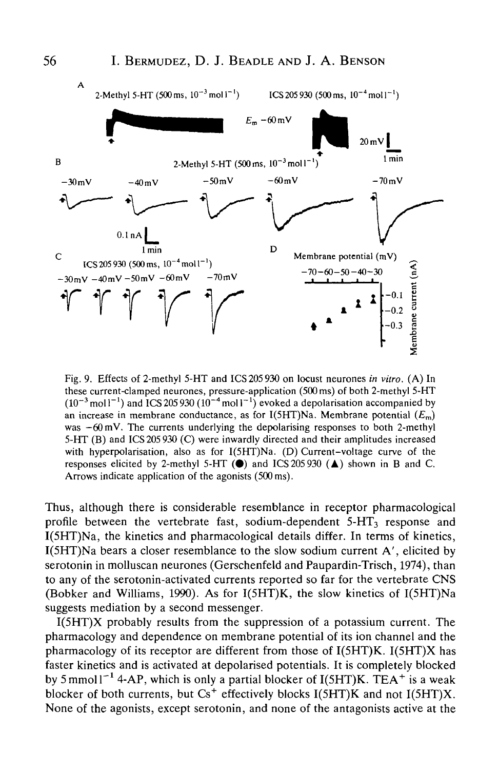

Fig. 9. Effects of 2-methyl 5-HT and ICS 205 930 on locust neurones *in vitro.* (A) In these current-clamped neurones, pressure-application (500 ms) of both 2-methyl 5-HT  $(10^{-3}$  mol l<sup>-1</sup>) and ICS 205 930  $(10^{-4}$  mol l<sup>-1</sup>) evoked a depolarisation accompanied by an increase in membrane conductance, as for I(5HT)Na. Membrane potential  $(E_m)$ was  $-60$  mV. The currents underlying the depolarising responses to both 2-methyl 5-HT (B) and ICS 205 930 (C) were inwardly directed and their amplitudes increased with hyperpolarisation, also as for I(5HT)Na. (D) Current-voltage curve of the responses elicited by 2-methyl 5-HT  $(\bullet)$  and ICS 205 930  $(\bullet)$  shown in B and C. Arrows indicate application of the agonists (500 ms).

Thus, although there is considerable resemblance in receptor pharmacological profile between the vertebrate fast, sodium-dependent  $5-HT<sub>3</sub>$  response and I(5HT)Na, the kinetics and pharmacological details differ. In terms of kinetics, I(5HT)Na bears a closer resemblance to the slow sodium current A', elicited by serotonin in molluscan neurones (Gerschenfeld and Paupardin-Trisch, 1974), than to any of the serotonin-activated currents reported so far for the vertebrate CNS (Bobker and Williams, 1990). As for I(5HT)K, the slow kinetics of I(5HT)Na suggests mediation by a second messenger.

I(5HT)X probably results from the suppression of a potassium current. The pharmacology and dependence on membrane potential of its ion channel and the pharmacology of its receptor are different from those of I(5HT)K. I(5HT)X has faster kinetics and is activated at depolarised potentials. It is completely blocked by 5 mmol  $I^{-1}$  4-AP, which is only a partial blocker of I(5HT)K. TEA<sup>+</sup> is a weak blocker of both currents, but  $\text{Cs}^+$  effectively blocks I(5HT)K and not I(5HT)X. None of the agonists, except serotonin, and none of the antagonists active at the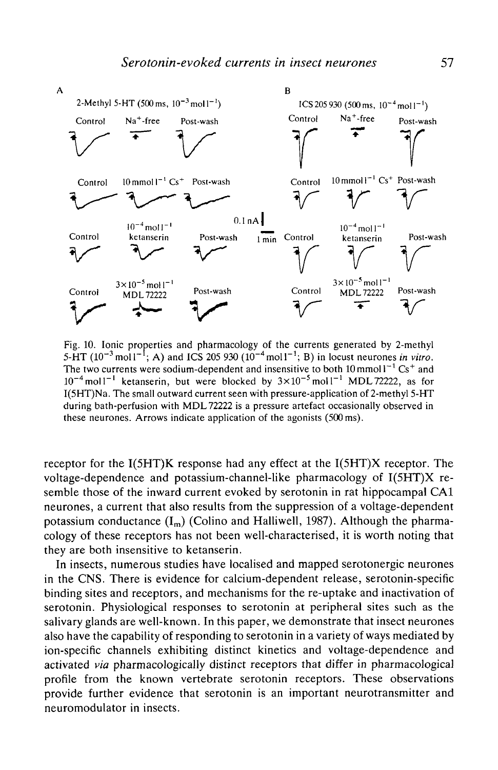

Fig. 10. Ionic properties and pharmacology of the currents generated by 2-methyl 5-HT  $(10^{-3} \text{ mol}1^{-1}$ ; A) and ICS 205 930  $(10^{-4} \text{ mol}1^{-1}$ ; B) in locust neurones *in vitro*. The two currents were sodium-dependent and insensitive to both  $10 \text{ mmol}^{-1} \text{Cs}^+$  and  $10^{-4}$  moll<sup>-1</sup> ketanserin, but were blocked by  $3 \times 10^{-5}$  moll<sup>-1</sup> MDL72222, as for I(5HT)Na. The small outward current seen with pressure-application of 2-methyl 5-HT during bath-perfusion with MDL 72222 is a pressure artefact occasionally observed in these neurones. Arrows indicate application of the agonists (500 ms).

receptor for the I(5HT)K response had any effect at the I(5HT)X receptor. The voltage-dependence and potassium-channel-like pharmacology of I(5HT)X resemble those of the inward current evoked by serotonin in rat hippocampal CA1 neurones, a current that also results from the suppression of a voltage-dependent potassium conductance  $(I_m)$  (Colino and Halliwell, 1987). Although the pharmacology of these receptors has not been well-characterised, it is worth noting that they are both insensitive to ketanserin.

In insects, numerous studies have localised and mapped serotonergic neurones in the CNS. There is evidence for calcium-dependent release, serotonin-specific binding sites and receptors, and mechanisms for the re-uptake and inactivation of serotonin. Physiological responses to serotonin at peripheral sites such as the salivary glands are well-known. In this paper, we demonstrate that insect neurones also have the capability of responding to serotonin in a variety of ways mediated by ion-specific channels exhibiting distinct kinetics and voltage-dependence and activated *via* pharmacologically distinct receptors that differ in pharmacological profile from the known vertebrate serotonin receptors. These observations provide further evidence that serotonin is an important neurotransmitter and neuromodulator in insects.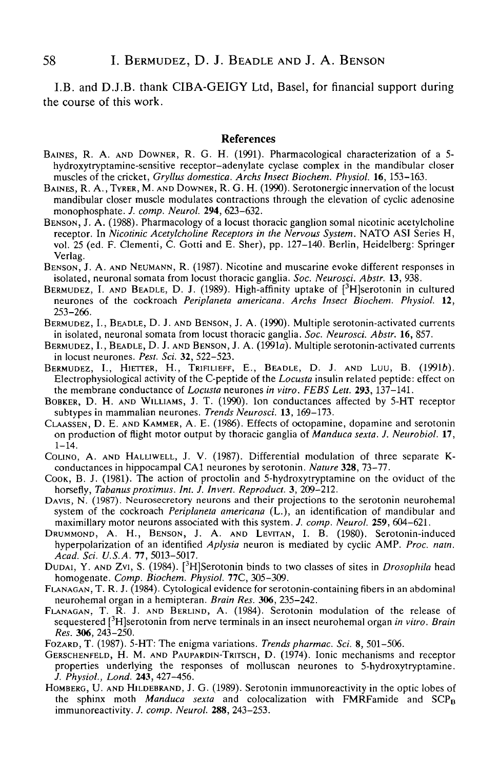I.B. and D.J.B. thank CIBA-GEIGY Ltd, Basel, for financial support during the course of this work.

#### References

- BAINES, R. A. AND DOWNER, R. G. H. (1991). Pharmacological characterization of a 5 hydroxytryptamine-sensitive receptor-adenylate cyclase complex in the mandibular closer muscles of the cricket, *Gryllus domestica. Archs Insect Biochern. Physiol.* 16, 153-163.
- BAINES, R. A., TYRER, M. AND DOWNER, R. G. H. (1990). Serotonergic innervation of the locust mandibular closer muscle modulates contractions through the elevation of cyclic adenosine monophosphate. *J. comp. Neurol.* **294**, 623-632.
- BENSON, J. A. (1988). Pharmacology of a locust thoracic ganglion somal nicotinic acetylcholine receptor. In *Nicotinic Acetylcholine Receptors in the Nervous System.* NATO ASI Series H, vol. 25 (ed. F. Clementi, C. Gotti and E. Sher), pp. 127-140. Berlin, Heidelberg: Springer Verlag.
- BENSON, J. A. AND NEUMANN, R. (1987). Nicotine and muscarine evoke different responses in isolated, neuronal somata from locust thoracic ganglia. *Soc. Neurosci. Abstr.* 13, 938.
- BERMUDEZ, I. AND BEADLE, D. J. (1989). High-affinity uptake of [<sup>3</sup>H]serotonin in cultured neurones of the cockroach *Periplaneta americana. Archs Insect Biochem. Physiol.* 12, 253-266.
- BERMUDEZ, I., BEADLE, D. J. AND BENSON, J. A. (1990). Multiple serotonin-activated currents in isolated, neuronal somata from locust thoracic ganglia. *Soc. Neurosci. Abstr.* 16, 857.
- BERMUDEZ, I., BEADLE, D. J. AND BENSON, J. A. (1991a). Multiple serotonin-activated currents in locust neurones. *Pest. Sci.* **32,** 522-523.
- BERMUDEZ, I., HIETTER, H., TRIFILIEFF, E., BEADLE, D. J. AND LUU, B. (1991b). Electrophysiological activity of the C-peptide of the *Locusta* insulin related peptide: effect on the membrane conductance of *Locusta* neurones *in vitro. FEBS Lett.* **293,** 137-141.
- BOBKER, D. H. AND WILLIAMS, J. T. (1990). Ion conductances affected by 5-HT receptor subtypes in mammalian neurones. *Trends Neurosci.* 13, 169-173.
- CLAASSEN, D. E. AND KAMMER, A. E. (1986). Effects of octopamine, dopamine and serotonin on production of flight motor output by thoracic ganglia of *Manduca sexta. J. Neurobiol.* 17,  $1 - 14$ .
- COUNO, A. AND HALLIWELL, J. V. (1987). Differential modulation of three separate Kconductances in hippocampal CA1 neurones by serotonin. *Nature* **328,** 73-77.
- COOK, B. J. (1981). The action of proctolin and 5-hydroxytryptamine on the oviduct of the horsefly, *Tabanus proximus. Int. J. Invert. Reproduct.* 3, 209-212.
- DAVIS, N. (1987). Neurosecretory neurons and their projections to the serotonin neurohemal system of the cockroach *Periplaneta americana* (L.), an identification of mandibular and maximillary motor neurons associated with this system. *J. comp. Neurol.* **259,** 604-621.
- DRUMMOND, A. H., BENSON, J. A. AND LEVTTAN, I. B. (1980). Serotonin-induced hyperpolarization of an identified *Aplysia* neuron is mediated by cyclic AMP. *Proc. natn. Acad. Sci. U.S.A.* 77, 5013-5017.
- DUDAI, Y. AND Zvi, S. (1984). [3 H]Serotonin binds to two classes of sites in *Drosophila* head homogenate. *Comp. Biochem. Physiol.* **77C,** 305-309.
- FLANAGAN, T. R. J. (1984). Cytological evidence for serotonin-containing fibers in an abdominal neurohemal organ in a hemipteran. *Brain Res.* **306,** 235-242.
- FLANAGAN, T. R. J. AND BERLIND, A. (1984). Serotonin modulation of the release of sequestered [3 H]serotonin from nerve terminals in an insect neurohemal organ *in vitro. Brain Res.* **306,** 243-250.
- FOZARD, T. (1987). 5-HT: The enigma variations. *Trendspharmac. Sci.* 8, 501-506.
- GERSCHENFELD, H. M. AND PAUPARDIN-TRITSCH, D. (1974). Ionic mechanisms and receptor properties underlying the responses of molluscan neurones to 5-hydroxytryptamine. *J. Physiol., Lond.* **243,** 427-456.
- HOMBERG, U. AND HILDEBRAND, J. G. (1989). Serotonin immunoreactivity in the optic lobes of the sphinx moth *Manduca sexta* and colocalization with FMRFamide and  $SCP_B$ immunoreactivity. /. *comp. Neurol.* **288,** 243-253.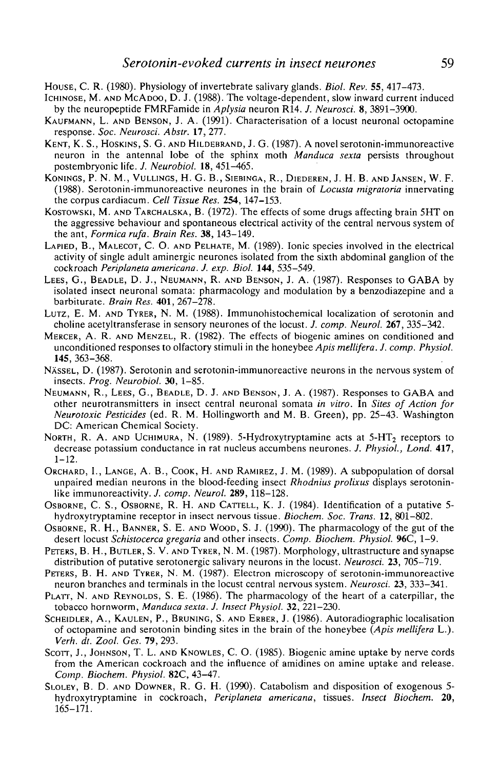- HOUSE, C. R. (1980). Physiology of invertebrate salivary glands. *Biol. Rev.* 55, 417-473.
- ICHINOSE, M. AND MCADOO, D. J. (1988). The voltage-dependent, slow inward current induced by the neuropeptide FMRFamide in *Aplysia* neuron R14. /. *Neurosci.* 8, 3891-3900.
- KAUFMANN, L. AND BENSON, J. A. (1991). Characterisation of a locust neuronal octopamine response. *Soc. Neurosci. Abstr.* 17, 277.
- KENT, K. S., HOSKINS, S. G. AND HILDEBRAND, J. G. (1987). A novel serotonin-immunoreactive neuron in the antennal lobe of the sphinx moth *Manduca sexta* persists throughout postembryonic life. *J. Neurobiol.* 18, 451-465.
- KONINGS, P. N. M., VULLINGS, H. G. B. , SlEBINGA, R., DlEDEREN, J. H. B. AND JANSEN, W. F. (1988). Serotonin-immunoreactive neurones in the brain of *Locusta migratoria* innervating the corpus cardiacum. *Cell Tissue Res.* 254, 147-153.
- KOSTOWSKI, M. AND TARCHALSKA, B. (1972). The effects of some drugs affecting brain 5HT on the aggressive behaviour and spontaneous electrical activity of the central nervous system of the ant, *Formica rufa. Brain Res.* 38, 143-149.
- LAPIED, B., MALECOT, C. O. AND PELHATE, M. (1989). Ionic species involved in the electrical activity of single adult aminergic neurones isolated from the sixth abdominal ganglion of the cockroach *Periplaneta americana. J. exp. Biol.* 144, 535-549.
- LEES, G., BEADLE, D. J., NEUMANN, R. AND BENSON, J. A. (1987). Responses to GABA by isolated insect neuronal somata: pharmacology and modulation by a benzodiazepine and a barbiturate. *Brain Res.* 401, 267-278.
- LUTZ, E. M. AND TYRER, N. M. (1988). Immunohistochemical localization of serotonin and choline acetyltransferase in sensory neurones of the locust. *J. comp. Neurol.* 267, 335-342.
- MERCER, A. R. AND MENZEL, R. (1982). The effects of biogenic amines on conditioned and unconditioned responses to olfactory stimuli in the honeybee *Apis mellifera. J. comp. Physiol.* 145, 363-368.
- NÄSSEL, D. (1987). Serotonin and serotonin-immunoreactive neurons in the nervous system of insects. *Prog. Neurobiol.* 30, 1-85.
- NEUMANN, R., LEES, G., BEADLE, D. J. AND BENSON, J. A. (1987). Responses to GABA and other neurotransmitters in insect central neuronal somata *in vitro.* In *Sites of Action for Neurotoxic Pesticides* (ed. R. M. Hollingworth and M. B. Green), pp. 25-43. Washington DC: American Chemical Society.
- NORTH, R. A. AND UCHIMURA, N. (1989). 5-Hydroxytryptamine acts at  $5-HT<sub>2</sub>$  receptors to decrease potassium conductance in rat nucleus accumbens neurones. /. *Physiol., Lond.* 417, 1-12.
- ORCHARD, 1., LANGE, A. B., COOK, H. AND RAMIREZ, J. M. (1989). A subpopulation of dorsal unpaired median neurons in the blood-feeding insect *Rhodnius prolixus* displays serotoninlike immunoreactivity. *J. comp. Neurol.* 289, 118-128.
- OSBORNE, C. S., OSBORNE, R. H. AND CATTELL, K. J. (1984). Identification of a putative 5 hydroxytryptamine receptor in insect nervous tissue. *Biochem. Soc. Trans.* 12, 801-802.
- OSBORNE, R. H., BANNER, S. E. AND WOOD, S. J. (1990). The pharmacology of the gut of the desert locust *Schistocerca gregaria* and other insects. *Comp. Biochem. Physiol.* 96C, 1-9.
- PETERS, B. H., BUTLER, S. V. AND TYRER, N. M. (1987). Morphology, ultrastructure and synapse distribution of putative serotonergic salivary neurons in the locust. *Neurosci.* 23, 705-719.
- PETERS, B. H. AND TYRER, N. M. (1987). Electron microscopy of serotonin-immunoreactive neuron branches and terminals in the locust central nervous system. *Neurosci.* 23, 333-341.
- PLATT, N. AND REYNOLDS, S. E. (1986). The pharmacology of the heart of a caterpillar, the tobacco hornworm, *Manduca sexta. J. Insect Physiol.* 32, 221-230.
- SCHEIDLER, A., KAULEN, P., BRUNING, S. AND ERBER, J. (1986). Autoradiographic localisation of octopamine and serotonin binding sites in the brain of the honeybee *(Apis mellifera* L.). *Verh. dt. Zool. Ges.* 79,293.
- SCOTT, J., JOHNSON, T. L. AND KNOWLES, C. O. (1985). Biogenic amine uptake by nerve cords from the American cockroach and the influence of amidines on amine uptake and release. *Comp. Biochem. Physiol.* 82C, 43-47.
- SLOLEY, B. D. AND DOWNER, R. G. H. (1990). Catabolism and disposition of exogenous 5 hydroxytryptamine in cockroach, *Periplaneta americana,* tissues. *Insect Biochem.* 20, 165-171.